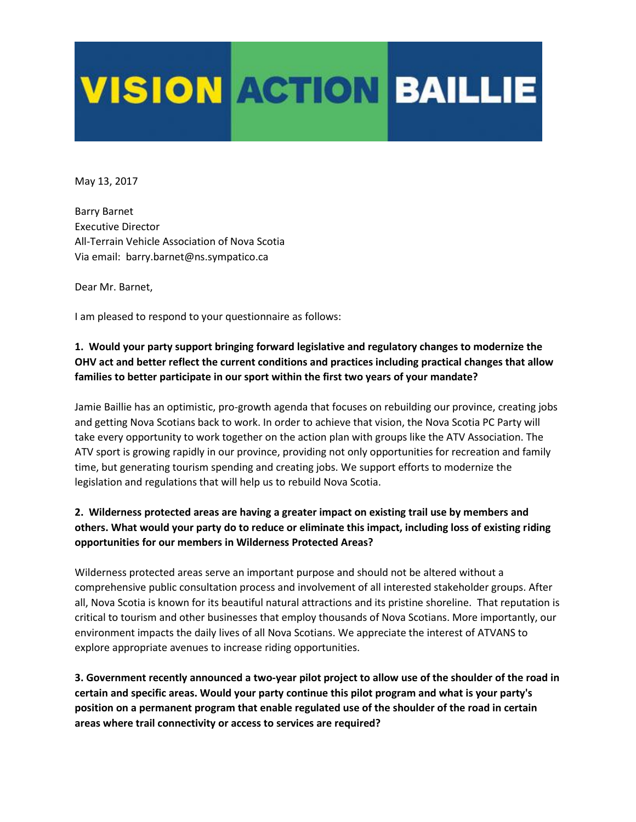## **VISION ACTION BAILLIE**

May 13, 2017

Barry Barnet Executive Director All-Terrain Vehicle Association of Nova Scotia Via email: barry.barnet@ns.sympatico.ca

Dear Mr. Barnet,

I am pleased to respond to your questionnaire as follows:

## **1. Would your party support bringing forward legislative and regulatory changes to modernize the OHV act and better reflect the current conditions and practices including practical changes that allow families to better participate in our sport within the first two years of your mandate?**

Jamie Baillie has an optimistic, pro-growth agenda that focuses on rebuilding our province, creating jobs and getting Nova Scotians back to work. In order to achieve that vision, the Nova Scotia PC Party will take every opportunity to work together on the action plan with groups like the ATV Association. The ATV sport is growing rapidly in our province, providing not only opportunities for recreation and family time, but generating tourism spending and creating jobs. We support efforts to modernize the legislation and regulations that will help us to rebuild Nova Scotia.

## **2. Wilderness protected areas are having a greater impact on existing trail use by members and others. What would your party do to reduce or eliminate this impact, including loss of existing riding opportunities for our members in Wilderness Protected Areas?**

Wilderness protected areas serve an important purpose and should not be altered without a comprehensive public consultation process and involvement of all interested stakeholder groups. After all, Nova Scotia is known for its beautiful natural attractions and its pristine shoreline. That reputation is critical to tourism and other businesses that employ thousands of Nova Scotians. More importantly, our environment impacts the daily lives of all Nova Scotians. We appreciate the interest of ATVANS to explore appropriate avenues to increase riding opportunities.

**3. Government recently announced a two-year pilot project to allow use of the shoulder of the road in certain and specific areas. Would your party continue this pilot program and what is your party's position on a permanent program that enable regulated use of the shoulder of the road in certain areas where trail connectivity or access to services are required?**